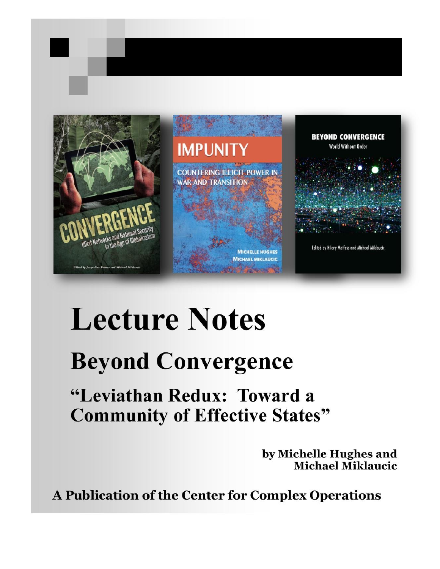

# **Lecture Notes**

## **Beyond Convergence**

### "Leviathan Redux: Toward a **Community of Effective States"**

by Michelle Hughes and **Michael Miklaucic** 

A Publication of the Center for Complex Operations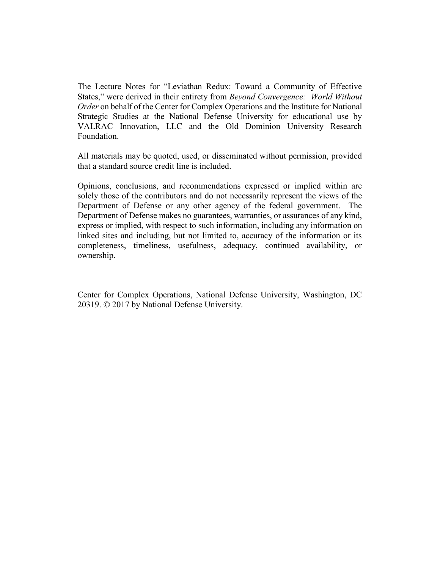The Lecture Notes for "Leviathan Redux: Toward a Community of Effective States," were derived in their entirety from *Beyond Convergence: World Without Order* on behalf of the Center for Complex Operations and the Institute for National Strategic Studies at the National Defense University for educational use by VALRAC Innovation, LLC and the Old Dominion University Research Foundation.

All materials may be quoted, used, or disseminated without permission, provided that a standard source credit line is included.

Opinions, conclusions, and recommendations expressed or implied within are solely those of the contributors and do not necessarily represent the views of the Department of Defense or any other agency of the federal government. The Department of Defense makes no guarantees, warranties, or assurances of any kind, express or implied, with respect to such information, including any information on linked sites and including, but not limited to, accuracy of the information or its completeness, timeliness, usefulness, adequacy, continued availability, or ownership.

Center for Complex Operations, National Defense University, Washington, DC 20319. © 2017 by National Defense University.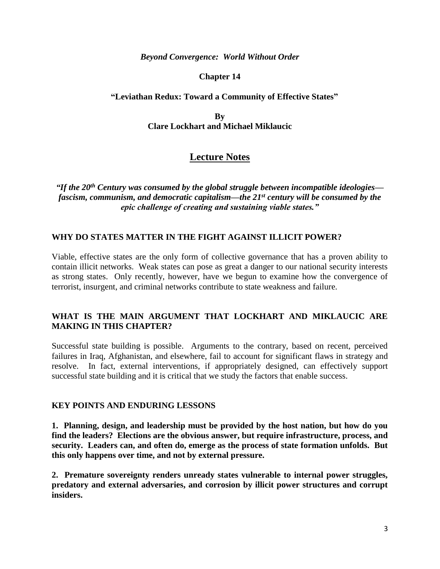#### *Beyond Convergence: World Without Order*

#### **Chapter 14**

#### **"Leviathan Redux: Toward a Community of Effective States"**

**By Clare Lockhart and Michael Miklaucic**

#### **Lecture Notes**

*"If the 20th Century was consumed by the global struggle between incompatible ideologies fascism, communism, and democratic capitalism—the 21st century will be consumed by the epic challenge of creating and sustaining viable states."*

#### **WHY DO STATES MATTER IN THE FIGHT AGAINST ILLICIT POWER?**

Viable, effective states are the only form of collective governance that has a proven ability to contain illicit networks. Weak states can pose as great a danger to our national security interests as strong states. Only recently, however, have we begun to examine how the convergence of terrorist, insurgent, and criminal networks contribute to state weakness and failure.

#### **WHAT IS THE MAIN ARGUMENT THAT LOCKHART AND MIKLAUCIC ARE MAKING IN THIS CHAPTER?**

Successful state building is possible. Arguments to the contrary, based on recent, perceived failures in Iraq, Afghanistan, and elsewhere, fail to account for significant flaws in strategy and resolve. In fact, external interventions, if appropriately designed, can effectively support successful state building and it is critical that we study the factors that enable success.

#### **KEY POINTS AND ENDURING LESSONS**

**1. Planning, design, and leadership must be provided by the host nation, but how do you find the leaders? Elections are the obvious answer, but require infrastructure, process, and security. Leaders can, and often do, emerge as the process of state formation unfolds. But this only happens over time, and not by external pressure.**

**2. Premature sovereignty renders unready states vulnerable to internal power struggles, predatory and external adversaries, and corrosion by illicit power structures and corrupt insiders.**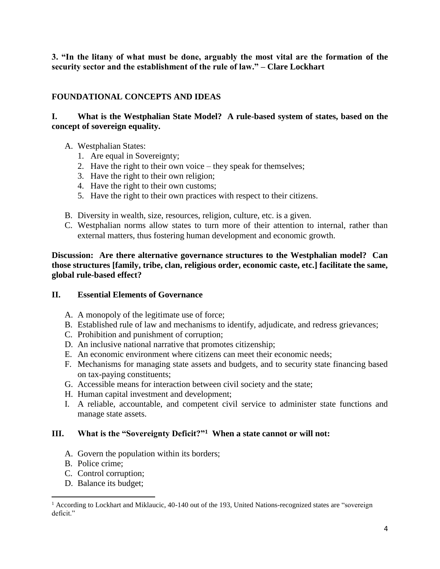**3. "In the litany of what must be done, arguably the most vital are the formation of the security sector and the establishment of the rule of law." – Clare Lockhart**

#### **FOUNDATIONAL CONCEPTS AND IDEAS**

#### **I. What is the Westphalian State Model? A rule-based system of states, based on the concept of sovereign equality.**

- A. Westphalian States:
	- 1. Are equal in Sovereignty;
	- 2. Have the right to their own voice they speak for themselves;
	- 3. Have the right to their own religion;
	- 4. Have the right to their own customs;
	- 5. Have the right to their own practices with respect to their citizens.
- B. Diversity in wealth, size, resources, religion, culture, etc. is a given.
- C. Westphalian norms allow states to turn more of their attention to internal, rather than external matters, thus fostering human development and economic growth.

**Discussion: Are there alternative governance structures to the Westphalian model? Can those structures [family, tribe, clan, religious order, economic caste, etc.] facilitate the same, global rule-based effect?**

#### **II. Essential Elements of Governance**

- A. A monopoly of the legitimate use of force;
- B. Established rule of law and mechanisms to identify, adjudicate, and redress grievances;
- C. Prohibition and punishment of corruption;
- D. An inclusive national narrative that promotes citizenship;
- E. An economic environment where citizens can meet their economic needs;
- F. Mechanisms for managing state assets and budgets, and to security state financing based on tax-paying constituents;
- G. Accessible means for interaction between civil society and the state;
- H. Human capital investment and development;
- I. A reliable, accountable, and competent civil service to administer state functions and manage state assets.

#### **III. What is the "Sovereignty Deficit?"<sup>1</sup> When a state cannot or will not:**

- A. Govern the population within its borders;
- B. Police crime;

 $\overline{a}$ 

- C. Control corruption;
- D. Balance its budget;

<sup>&</sup>lt;sup>1</sup> According to Lockhart and Miklaucic, 40-140 out of the 193, United Nations-recognized states are "sovereign deficit<sup>"</sup>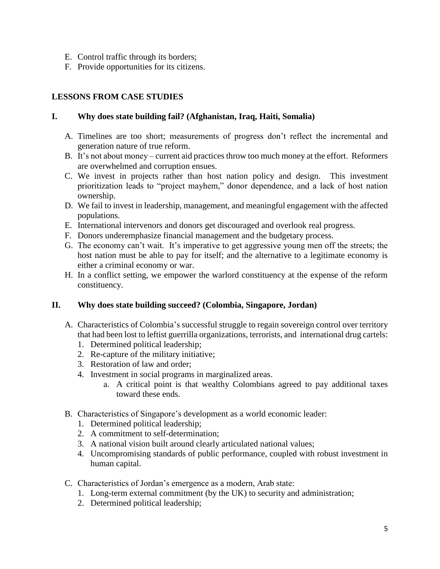- E. Control traffic through its borders;
- F. Provide opportunities for its citizens.

#### **LESSONS FROM CASE STUDIES**

#### **I. Why does state building fail? (Afghanistan, Iraq, Haiti, Somalia)**

- A. Timelines are too short; measurements of progress don't reflect the incremental and generation nature of true reform.
- B. It's not about money current aid practices throw too much money at the effort. Reformers are overwhelmed and corruption ensues.
- C. We invest in projects rather than host nation policy and design. This investment prioritization leads to "project mayhem," donor dependence, and a lack of host nation ownership.
- D. We fail to invest in leadership, management, and meaningful engagement with the affected populations.
- E. International intervenors and donors get discouraged and overlook real progress.
- F. Donors underemphasize financial management and the budgetary process.
- G. The economy can't wait. It's imperative to get aggressive young men off the streets; the host nation must be able to pay for itself; and the alternative to a legitimate economy is either a criminal economy or war.
- H. In a conflict setting, we empower the warlord constituency at the expense of the reform constituency.

#### **II. Why does state building succeed? (Colombia, Singapore, Jordan)**

- A. Characteristics of Colombia's successful struggle to regain sovereign control over territory that had been lost to leftist guerrilla organizations, terrorists, and international drug cartels:
	- 1. Determined political leadership;
	- 2. Re-capture of the military initiative;
	- 3. Restoration of law and order;
	- 4. Investment in social programs in marginalized areas.
		- a. A critical point is that wealthy Colombians agreed to pay additional taxes toward these ends.
- B. Characteristics of Singapore's development as a world economic leader:
	- 1. Determined political leadership;
	- 2. A commitment to self-determination;
	- 3. A national vision built around clearly articulated national values;
	- 4. Uncompromising standards of public performance, coupled with robust investment in human capital.
- C. Characteristics of Jordan's emergence as a modern, Arab state:
	- 1. Long-term external commitment (by the UK) to security and administration;
	- 2. Determined political leadership;